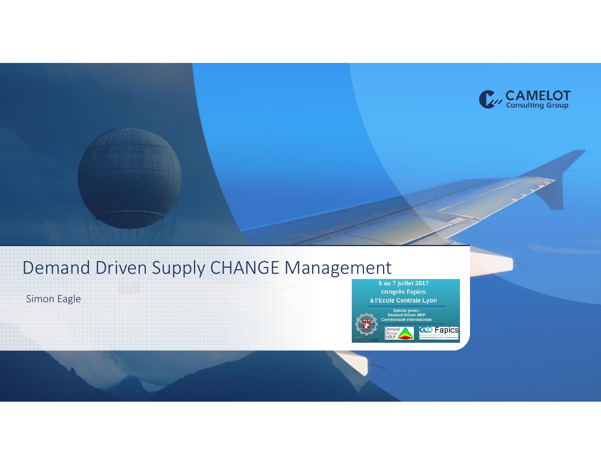

Simon Eagle

congrès Fapics à l'Ecole Centrale Lyon

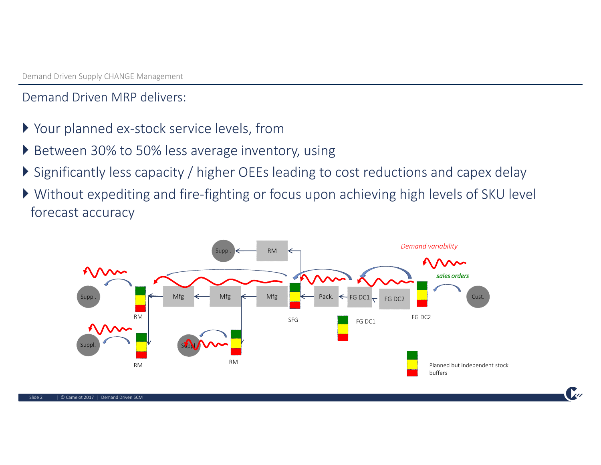Demand Driven MRP delivers:

- Your planned ex-stock service levels, from
- ▶ Between 30% to 50% less average inventory, using
- Significantly less capacity / higher OEEs leading to cost reductions and capex delay
- Without expediting and fire-fighting or focus upon achieving high levels of SKU level forecast accuracy

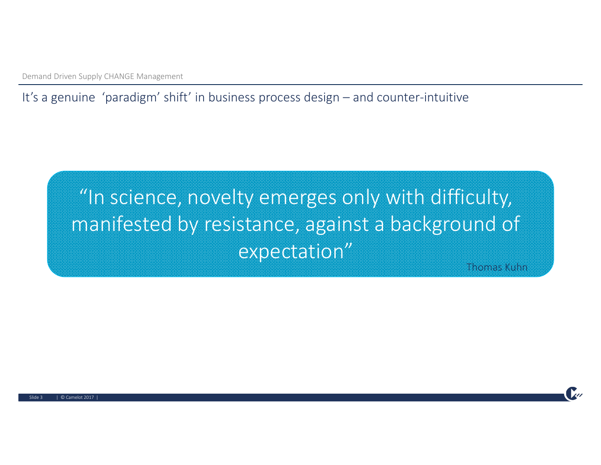It's a genuine 'paradigm' shift' in business process design – and counter-intuitive

## "In science, novelty emerges only with difficulty, manifested by resistance, against a background of expectation"

Thomas Kuhn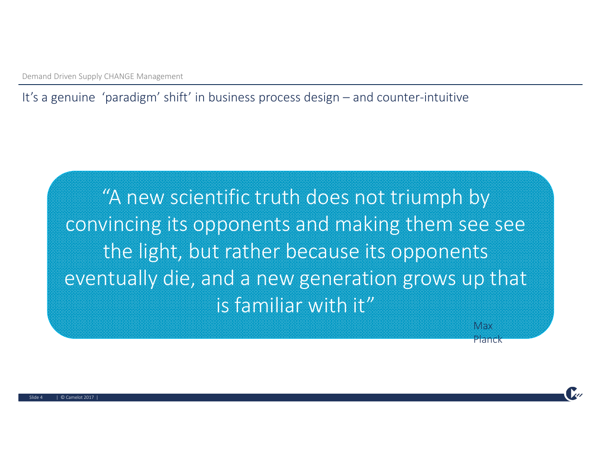It's a genuine 'paradigm' shift' in business process design – and counter-intuitive

"A new scientific truth does not triumph by convincing its opponents and making them see see the light, but rather because its opponents eventually die, and a new generation grows up that is familiar with it"

Max Planck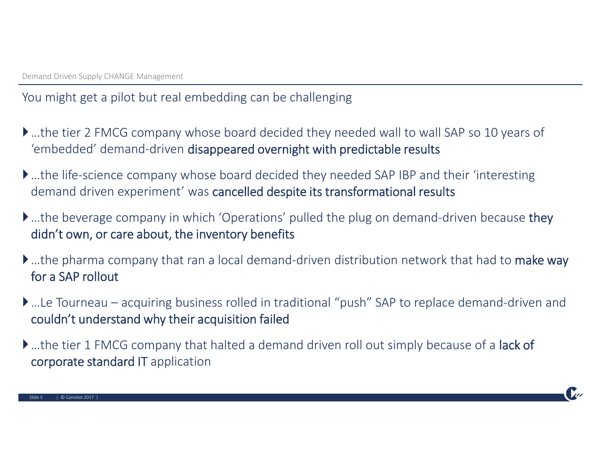You might get a pilot but real embedding can be challenging

- …the tier 2 FMCG company whose board decided they needed wall to wall SAP so 10 years of 'embedded' demand-driven disappeared overnight with predictable results
- …the life-science company whose board decided they needed SAP IBP and their 'interesting demand driven experiment' was cancelled despite its transformational results
- **▶**…the beverage company in which 'Operations' pulled the plug on demand-driven because they didn't own, or care about, the inventory benefits
- ▶ ...the pharma company that ran a local demand-driven distribution network that had to make way for a SAP rollout
- …Le Tourneau acquiring business rolled in traditional "push" SAP to replace demand-driven and couldn't understand why their acquisition failed
- **▶** ...the tier 1 FMCG company that halted a demand driven roll out simply because of a lack of corporate standard IT application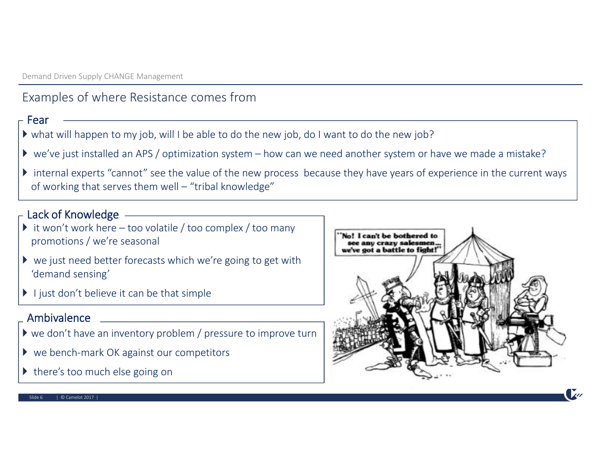#### Examples of where Resistance comes from

#### - Fear

- what will happen to my job, will I be able to do the new job, do I want to do the new job?
- we've just installed an APS / optimization system how can we need another system or have we made a mistake?
- internal experts "cannot" see the value of the new process because they have years of experience in the current ways of working that serves them well – "tribal knowledge"

#### Lack of Knowledge

- $\triangleright$  it won't work here too volatile / too complex / too many promotions / we're seasonal
- $\triangleright$  we just need better forecasts which we're going to get with 'demand sensing'
- $\blacktriangleright$  I just don't believe it can be that simple

#### Ambivalence

- we don't have an inventory problem / pressure to improve turn
- ▶ we bench-mark OK against our competitors
- $\triangleright$  there's too much else going on



#### $\textsf{Side 6} \qquad \textsf{1} \textsf{0} \textsf{Carnelot 2017}$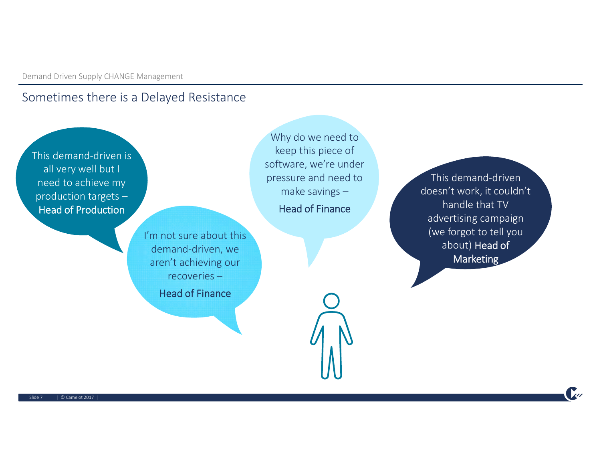#### Sometimes there is a Delayed Resistance

This demand-driven is all very well but I need to achieve my production targets – Head of Production

Why do we need to keep this piece of software, we're under pressure and need to make savings –

Head of Finance

I'm not sure about this demand-driven, we aren't achieving our recoveries –

Head of Finance

This demand-driven doesn't work, it couldn't handle that TV advertising campaign (we forgot to tell you about) Head of **Marketing**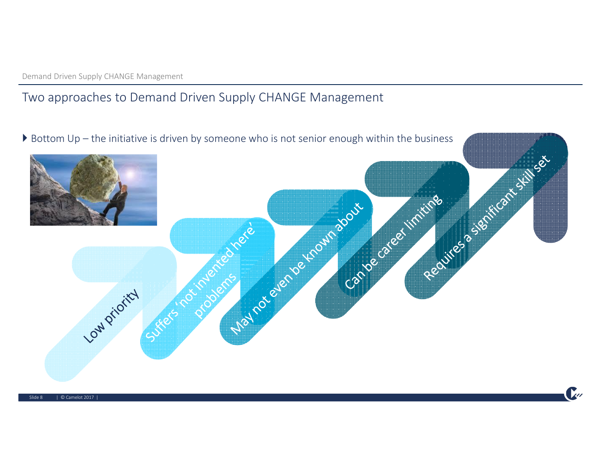#### Two approaches to Demand Driven Supply CHANGE Management

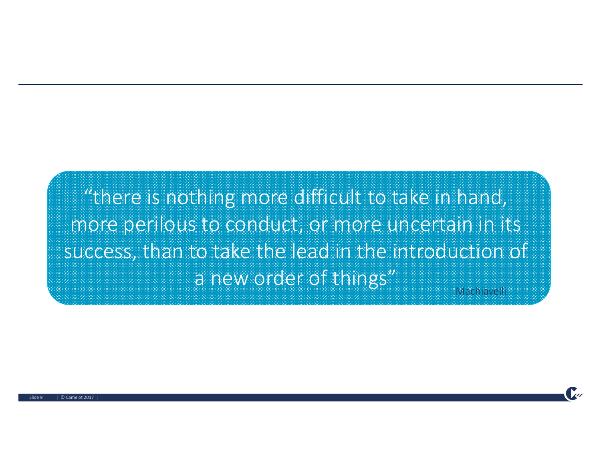"there is nothing more difficult to take in hand, more perilous to conduct, or more uncertain in its success, than to take the lead in the introduction of a new order of things"

Machiavelli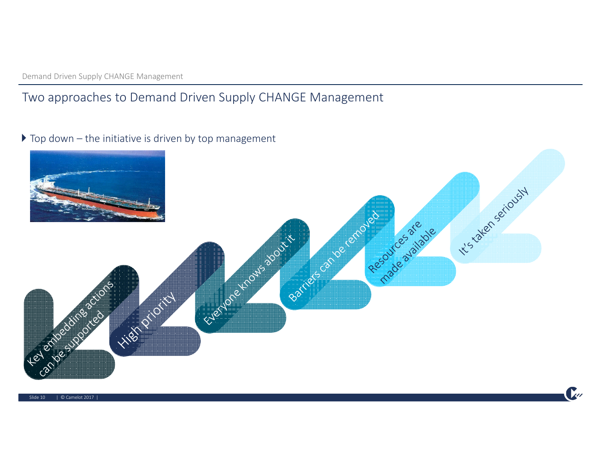#### Two approaches to Demand Driven Supply CHANGE Management

 $\triangleright$  Top down – the initiative is driven by top management

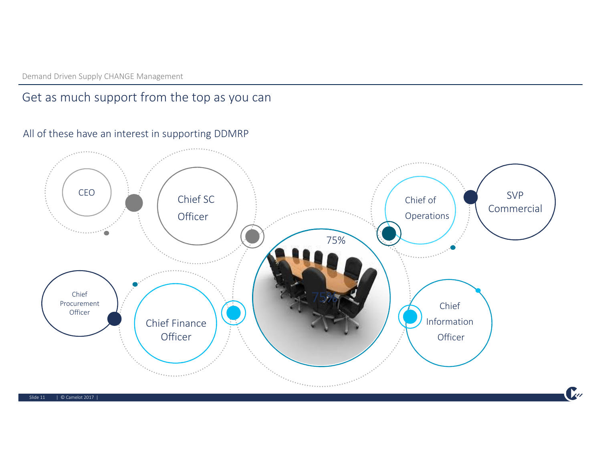#### Get as much support from the top as you can

#### All of these have an interest in supporting DDMRP



Slide 11 | © Camelot 2017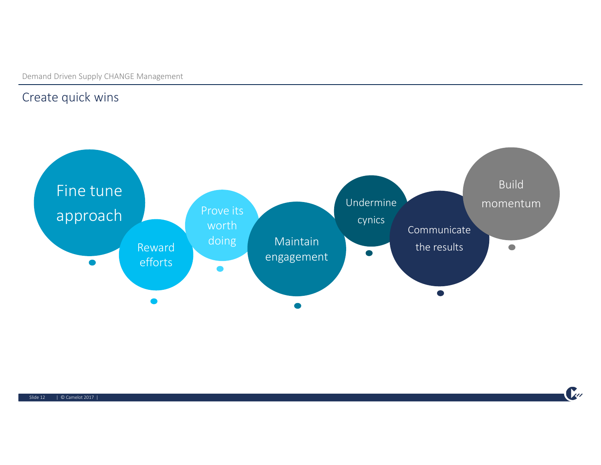#### Create quick wins



 $\mathcal{L}$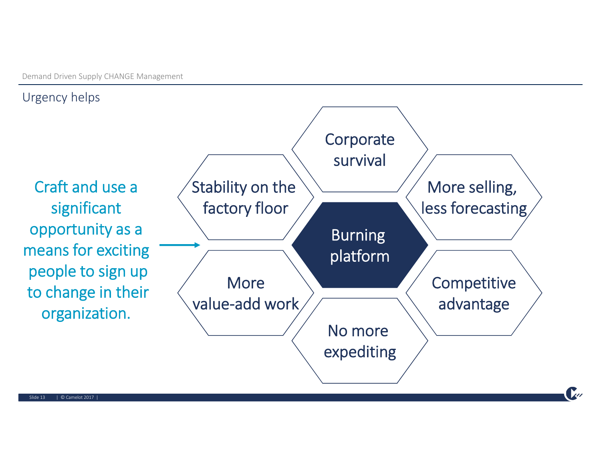#### Urgency helps

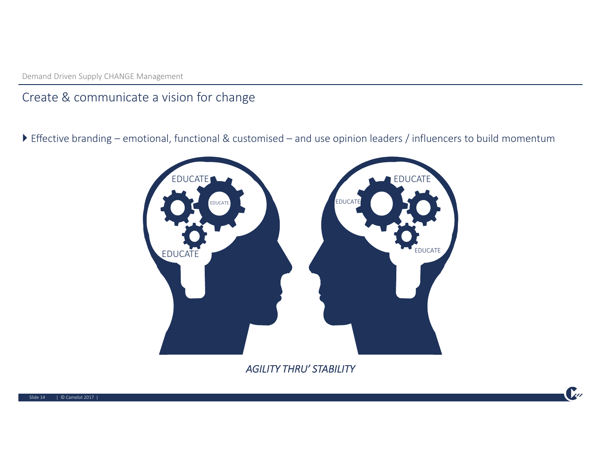#### Create & communicate a vision for change

Effective branding – emotional, functional & customised – and use opinion leaders / influencers to build momentum



*AGILITY THRU' STABILITY*

 $\mathbf{r}$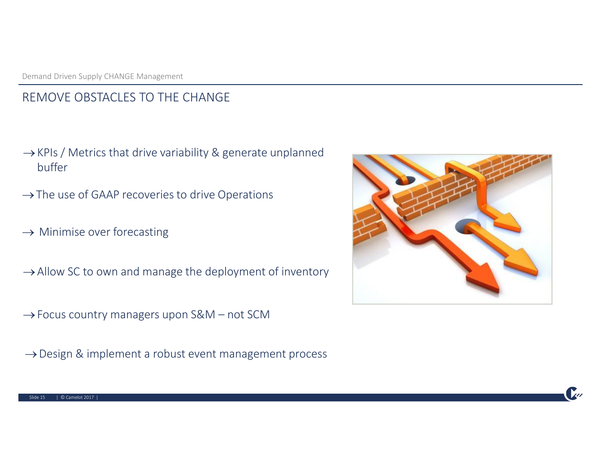#### REMOVE OBSTACLES TO THE CHANGE

- $\rightarrow$  KPIs / Metrics that drive variability & generate unplanned buffer
- $\rightarrow$  The use of GAAP recoveries to drive Operations
- $\rightarrow$  Minimise over forecasting
- $\rightarrow$  Allow SC to own and manage the deployment of inventory
- $\rightarrow$  Focus country managers upon S&M not SCM
- $\rightarrow$  Design & implement a robust event management process

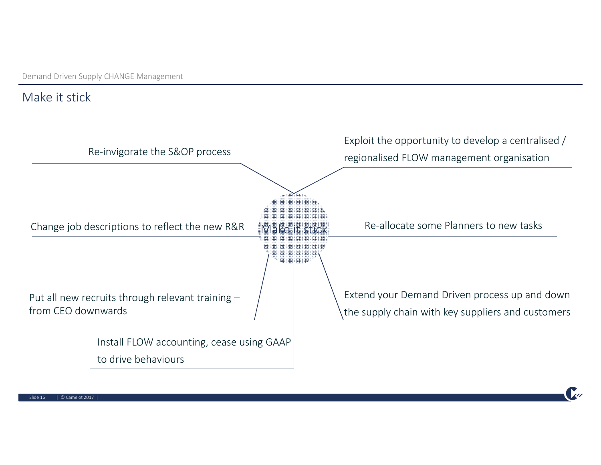#### Make it stick

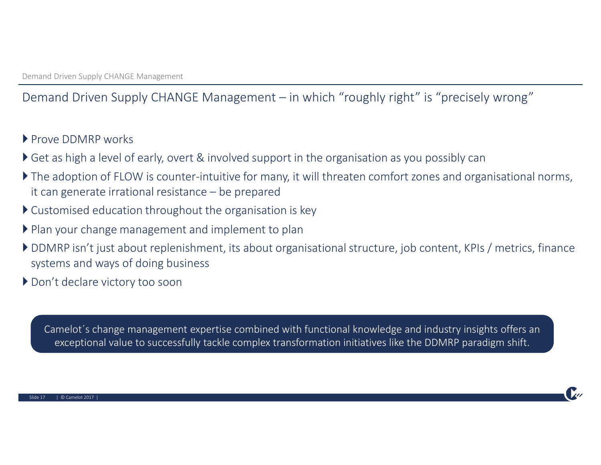### Demand Driven Supply CHANGE Management – in which "roughly right" is "precisely wrong"

- Prove DDMRP works
- ▶ Get as high a level of early, overt & involved support in the organisation as you possibly can
- The adoption of FLOW is counter-intuitive for many, it will threaten comfort zones and organisational norms, it can generate irrational resistance – be prepared
- Customised education throughout the organisation is key
- ▶ Plan your change management and implement to plan
- DDMRP isn't just about replenishment, its about organisational structure, job content, KPIs / metrics, finance systems and ways of doing business
- ▶ Don't declare victory too soon

Camelot´s change management expertise combined with functional knowledge and industry insights offers an exceptional value to successfully tackle complex transformation initiatives like the DDMRP paradigm shift.